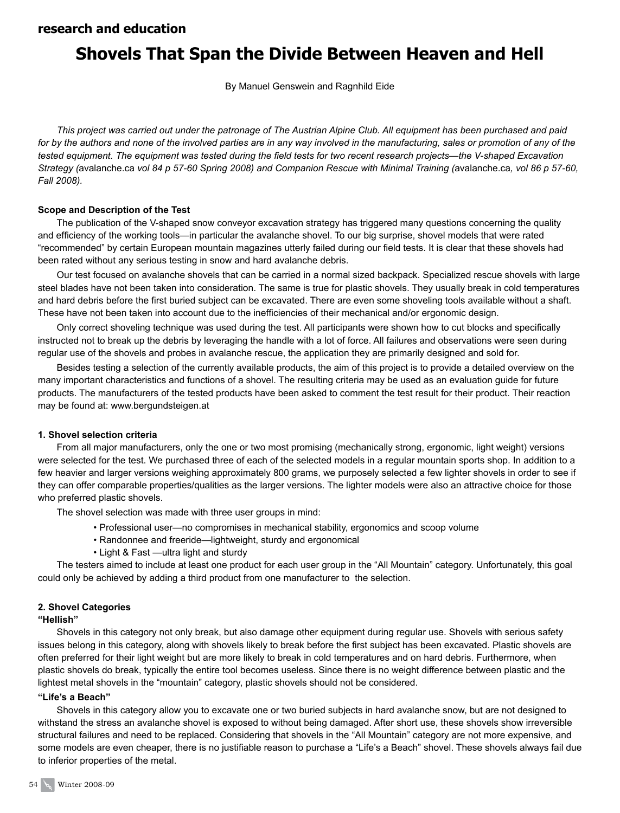# **Shovels That Span the Divide Between Heaven and Hell**

By Manuel Genswein and Ragnhild Eide

*This project was carried out under the patronage of The Austrian Alpine Club. All equipment has been purchased and paid for by the authors and none of the involved parties are in any way involved in the manufacturing, sales or promotion of any of the tested equipment. The equipment was tested during the field tests for two recent research projects—the V-shaped Excavation Strategy (*avalanche.ca *vol 84 p 57-60 Spring 2008) and Companion Rescue with Minimal Training (*avalanche.ca*, vol 86 p 57-60, Fall 2008).*

#### **Scope and Description of the Test**

The publication of the V-shaped snow conveyor excavation strategy has triggered many questions concerning the quality and efficiency of the working tools—in particular the avalanche shovel. To our big surprise, shovel models that were rated "recommended" by certain European mountain magazines utterly failed during our field tests. It is clear that these shovels had been rated without any serious testing in snow and hard avalanche debris.

Our test focused on avalanche shovels that can be carried in a normal sized backpack. Specialized rescue shovels with large steel blades have not been taken into consideration. The same is true for plastic shovels. They usually break in cold temperatures and hard debris before the first buried subject can be excavated. There are even some shoveling tools available without a shaft. These have not been taken into account due to the inefficiencies of their mechanical and/or ergonomic design.

Only correct shoveling technique was used during the test. All participants were shown how to cut blocks and specifically instructed not to break up the debris by leveraging the handle with a lot of force. All failures and observations were seen during regular use of the shovels and probes in avalanche rescue, the application they are primarily designed and sold for.

Besides testing a selection of the currently available products, the aim of this project is to provide a detailed overview on the many important characteristics and functions of a shovel. The resulting criteria may be used as an evaluation guide for future products. The manufacturers of the tested products have been asked to comment the test result for their product. Their reaction may be found at: www.bergundsteigen.at

#### **1. Shovel selection criteria**

From all major manufacturers, only the one or two most promising (mechanically strong, ergonomic, light weight) versions were selected for the test. We purchased three of each of the selected models in a regular mountain sports shop. In addition to a few heavier and larger versions weighing approximately 800 grams, we purposely selected a few lighter shovels in order to see if they can offer comparable properties/qualities as the larger versions. The lighter models were also an attractive choice for those who preferred plastic shovels.

The shovel selection was made with three user groups in mind:

- Professional user—no compromises in mechanical stability, ergonomics and scoop volume
- Randonnee and freeride—lightweight, sturdy and ergonomical
- Light & Fast —ultra light and sturdy

The testers aimed to include at least one product for each user group in the "All Mountain" category. Unfortunately, this goal could only be achieved by adding a third product from one manufacturer to the selection.

## **2. Shovel Categories**

#### **"Hellish"**

Shovels in this category not only break, but also damage other equipment during regular use. Shovels with serious safety issues belong in this category, along with shovels likely to break before the first subject has been excavated. Plastic shovels are often preferred for their light weight but are more likely to break in cold temperatures and on hard debris. Furthermore, when plastic shovels do break, typically the entire tool becomes useless. Since there is no weight difference between plastic and the lightest metal shovels in the "mountain" category, plastic shovels should not be considered.

#### **"Life's a Beach"**

Shovels in this category allow you to excavate one or two buried subjects in hard avalanche snow, but are not designed to withstand the stress an avalanche shovel is exposed to without being damaged. After short use, these shovels show irreversible structural failures and need to be replaced. Considering that shovels in the "All Mountain" category are not more expensive, and some models are even cheaper, there is no justifiable reason to purchase a "Life's a Beach" shovel. These shovels always fail due to inferior properties of the metal.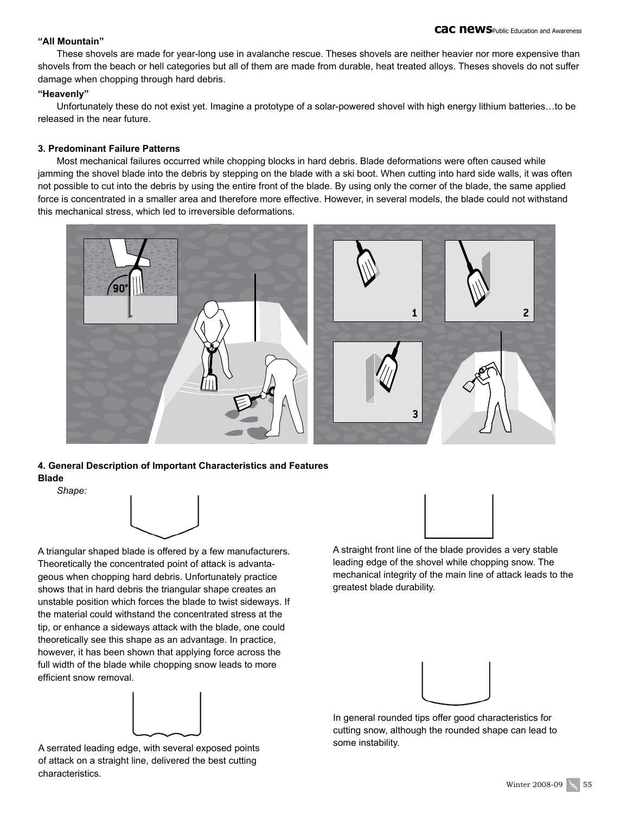#### **"All Mountain"**

These shovels are made for year-long use in avalanche rescue. Theses shovels are neither heavier nor more expensive than shovels from the beach or hell categories but all of them are made from durable, heat treated alloys. Theses shovels do not suffer damage when chopping through hard debris.

#### **"Heavenly"**

Unfortunately these do not exist yet. Imagine a prototype of a solar-powered shovel with high energy lithium batteries…to be released in the near future.

#### **3. Predominant Failure Patterns**

Most mechanical failures occurred while chopping blocks in hard debris. Blade deformations were often caused while jamming the shovel blade into the debris by stepping on the blade with a ski boot. When cutting into hard side walls, it was often not possible to cut into the debris by using the entire front of the blade. By using only the corner of the blade, the same applied force is concentrated in a smaller area and therefore more effective. However, in several models, the blade could not withstand this mechanical stress, which led to irreversible deformations.



### **4. General Description of Important Characteristics and Features Blade**

*Shape:*



A triangular shaped blade is offered by a few manufacturers. Theoretically the concentrated point of attack is advantageous when chopping hard debris. Unfortunately practice shows that in hard debris the triangular shape creates an unstable position which forces the blade to twist sideways. If the material could withstand the concentrated stress at the tip, or enhance a sideways attack with the blade, one could theoretically see this shape as an advantage. In practice, however, it has been shown that applying force across the full width of the blade while chopping snow leads to more efficient snow removal.



A serrated leading edge, with several exposed points of attack on a straight line, delivered the best cutting characteristics.



A straight front line of the blade provides a very stable leading edge of the shovel while chopping snow. The mechanical integrity of the main line of attack leads to the greatest blade durability.



In general rounded tips offer good characteristics for cutting snow, although the rounded shape can lead to some instability.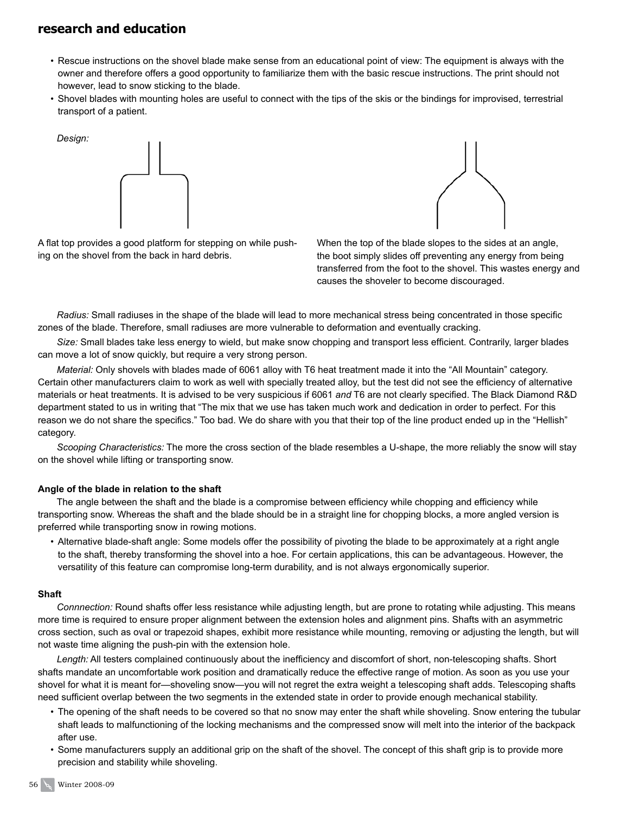*Design:* 

- Rescue instructions on the shovel blade make sense from an educational point of view: The equipment is always with the owner and therefore offers a good opportunity to familiarize them with the basic rescue instructions. The print should not however, lead to snow sticking to the blade.
- Shovel blades with mounting holes are useful to connect with the tips of the skis or the bindings for improvised, terrestrial transport of a patient.





A flat top provides a good platform for stepping on while pushing on the shovel from the back in hard debris.

When the top of the blade slopes to the sides at an angle, the boot simply slides off preventing any energy from being transferred from the foot to the shovel. This wastes energy and causes the shoveler to become discouraged.

*Radius:* Small radiuses in the shape of the blade will lead to more mechanical stress being concentrated in those specific zones of the blade. Therefore, small radiuses are more vulnerable to deformation and eventually cracking.

*Size:* Small blades take less energy to wield, but make snow chopping and transport less efficient. Contrarily, larger blades can move a lot of snow quickly, but require a very strong person.

*Material:* Only shovels with blades made of 6061 alloy with T6 heat treatment made it into the "All Mountain" category. Certain other manufacturers claim to work as well with specially treated alloy, but the test did not see the efficiency of alternative materials or heat treatments. It is advised to be very suspicious if 6061 *and* T6 are not clearly specified. The Black Diamond R&D department stated to us in writing that "The mix that we use has taken much work and dedication in order to perfect. For this reason we do not share the specifics." Too bad. We do share with you that their top of the line product ended up in the "Hellish" category.

*Scooping Characteristics:* The more the cross section of the blade resembles a U-shape, the more reliably the snow will stay on the shovel while lifting or transporting snow.

#### **Angle of the blade in relation to the shaft**

The angle between the shaft and the blade is a compromise between efficiency while chopping and efficiency while transporting snow. Whereas the shaft and the blade should be in a straight line for chopping blocks, a more angled version is preferred while transporting snow in rowing motions.

• Alternative blade-shaft angle: Some models offer the possibility of pivoting the blade to be approximately at a right angle to the shaft, thereby transforming the shovel into a hoe. For certain applications, this can be advantageous. However, the versatility of this feature can compromise long-term durability, and is not always ergonomically superior.

#### **Shaft**

*Connnection:* Round shafts offer less resistance while adjusting length, but are prone to rotating while adjusting. This means more time is required to ensure proper alignment between the extension holes and alignment pins. Shafts with an asymmetric cross section, such as oval or trapezoid shapes, exhibit more resistance while mounting, removing or adjusting the length, but will not waste time aligning the push-pin with the extension hole.

*Length:* All testers complained continuously about the inefficiency and discomfort of short, non-telescoping shafts. Short shafts mandate an uncomfortable work position and dramatically reduce the effective range of motion. As soon as you use your shovel for what it is meant for—shoveling snow—you will not regret the extra weight a telescoping shaft adds. Telescoping shafts need sufficient overlap between the two segments in the extended state in order to provide enough mechanical stability.

- The opening of the shaft needs to be covered so that no snow may enter the shaft while shoveling. Snow entering the tubular shaft leads to malfunctioning of the locking mechanisms and the compressed snow will melt into the interior of the backpack after use.
- Some manufacturers supply an additional grip on the shaft of the shovel. The concept of this shaft grip is to provide more precision and stability while shoveling.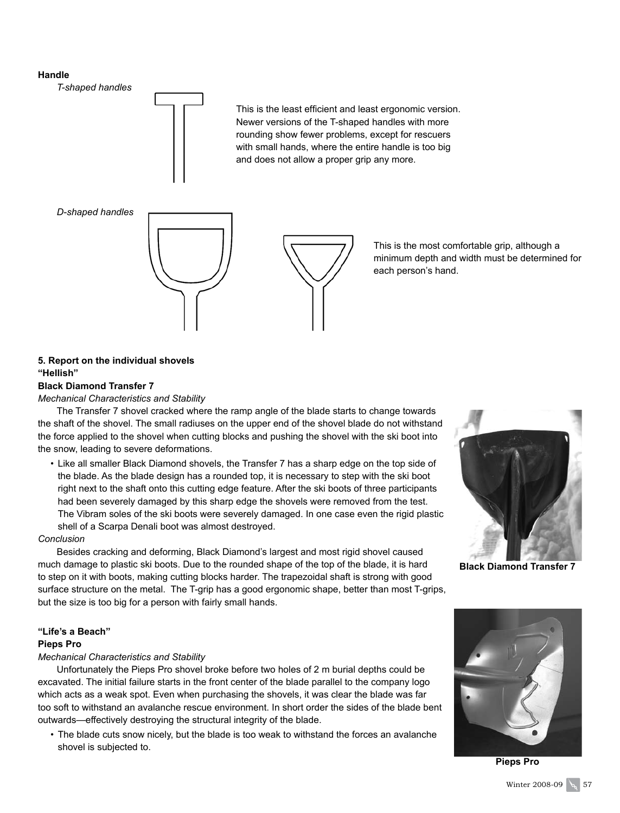#### **Handle**

*T-shaped handles*



*D-shaped handles*



This is the least efficient and least ergonomic version. Newer versions of the T-shaped handles with more rounding show fewer problems, except for rescuers with small hands, where the entire handle is too big and does not allow a proper grip any more.

> This is the most comfortable grip, although a minimum depth and width must be determined for each person's hand.

### **5. Report on the individual shovels "Hellish"**

### **Black Diamond Transfer 7**

*Mechanical Characteristics and Stability*

The Transfer 7 shovel cracked where the ramp angle of the blade starts to change towards the shaft of the shovel. The small radiuses on the upper end of the shovel blade do not withstand the force applied to the shovel when cutting blocks and pushing the shovel with the ski boot into the snow, leading to severe deformations.

• Like all smaller Black Diamond shovels, the Transfer 7 has a sharp edge on the top side of the blade. As the blade design has a rounded top, it is necessary to step with the ski boot right next to the shaft onto this cutting edge feature. After the ski boots of three participants had been severely damaged by this sharp edge the shovels were removed from the test. The Vibram soles of the ski boots were severely damaged. In one case even the rigid plastic shell of a Scarpa Denali boot was almost destroyed.

#### *Conclusion*

Besides cracking and deforming, Black Diamond's largest and most rigid shovel caused much damage to plastic ski boots. Due to the rounded shape of the top of the blade, it is hard to step on it with boots, making cutting blocks harder. The trapezoidal shaft is strong with good surface structure on the metal. The T-grip has a good ergonomic shape, better than most T-grips, but the size is too big for a person with fairly small hands.

#### **"Life's a Beach"**

#### **Pieps Pro**

#### *Mechanical Characteristics and Stability*

Unfortunately the Pieps Pro shovel broke before two holes of 2 m burial depths could be excavated. The initial failure starts in the front center of the blade parallel to the company logo which acts as a weak spot. Even when purchasing the shovels, it was clear the blade was far too soft to withstand an avalanche rescue environment. In short order the sides of the blade bent outwards—effectively destroying the structural integrity of the blade.

• The blade cuts snow nicely, but the blade is too weak to withstand the forces an avalanche shovel is subjected to.



**Black Diamond Transfer 7**



**Pieps Pro**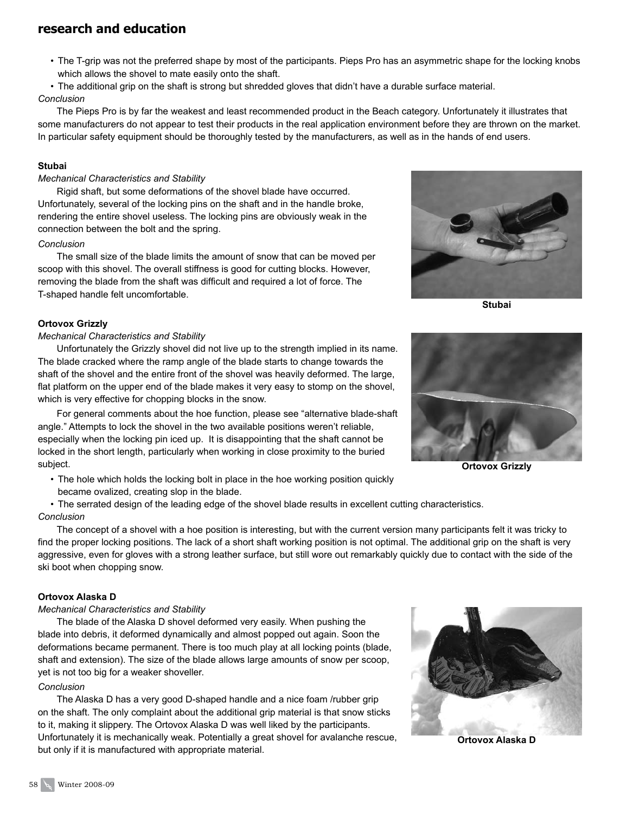- The T-grip was not the preferred shape by most of the participants. Pieps Pro has an asymmetric shape for the locking knobs which allows the shovel to mate easily onto the shaft.
- The additional grip on the shaft is strong but shredded gloves that didn't have a durable surface material.

### *Conclusion*

The Pieps Pro is by far the weakest and least recommended product in the Beach category. Unfortunately it illustrates that some manufacturers do not appear to test their products in the real application environment before they are thrown on the market. In particular safety equipment should be thoroughly tested by the manufacturers, as well as in the hands of end users.

#### **Stubai**

#### *Mechanical Characteristics and Stability*

Rigid shaft, but some deformations of the shovel blade have occurred. Unfortunately, several of the locking pins on the shaft and in the handle broke, rendering the entire shovel useless. The locking pins are obviously weak in the connection between the bolt and the spring.

#### *Conclusion*

The small size of the blade limits the amount of snow that can be moved per scoop with this shovel. The overall stiffness is good for cutting blocks. However, removing the blade from the shaft was difficult and required a lot of force. The T-shaped handle felt uncomfortable.

#### **Ortovox Grizzly**

#### *Mechanical Characteristics and Stability*

Unfortunately the Grizzly shovel did not live up to the strength implied in its name. The blade cracked where the ramp angle of the blade starts to change towards the shaft of the shovel and the entire front of the shovel was heavily deformed. The large, flat platform on the upper end of the blade makes it very easy to stomp on the shovel, which is very effective for chopping blocks in the snow.

For general comments about the hoe function, please see "alternative blade-shaft angle." Attempts to lock the shovel in the two available positions weren't reliable, especially when the locking pin iced up. It is disappointing that the shaft cannot be locked in the short length, particularly when working in close proximity to the buried subject.

• The hole which holds the locking bolt in place in the hoe working position quickly became ovalized, creating slop in the blade.

• The serrated design of the leading edge of the shovel blade results in excellent cutting characteristics. *Conclusion*

The concept of a shovel with a hoe position is interesting, but with the current version many participants felt it was tricky to find the proper locking positions. The lack of a short shaft working position is not optimal. The additional grip on the shaft is very aggressive, even for gloves with a strong leather surface, but still wore out remarkably quickly due to contact with the side of the ski boot when chopping snow.

#### **Ortovox Alaska D**

#### *Mechanical Characteristics and Stability*

The blade of the Alaska D shovel deformed very easily. When pushing the blade into debris, it deformed dynamically and almost popped out again. Soon the deformations became permanent. There is too much play at all locking points (blade, shaft and extension). The size of the blade allows large amounts of snow per scoop, yet is not too big for a weaker shoveller.

#### *Conclusion*

The Alaska D has a very good D-shaped handle and a nice foam /rubber grip on the shaft. The only complaint about the additional grip material is that snow sticks to it, making it slippery. The Ortovox Alaska D was well liked by the participants. Unfortunately it is mechanically weak. Potentially a great shovel for avalanche rescue, but only if it is manufactured with appropriate material.



**Stubai**



**Ortovox Grizzly**



**Ortovox Alaska D**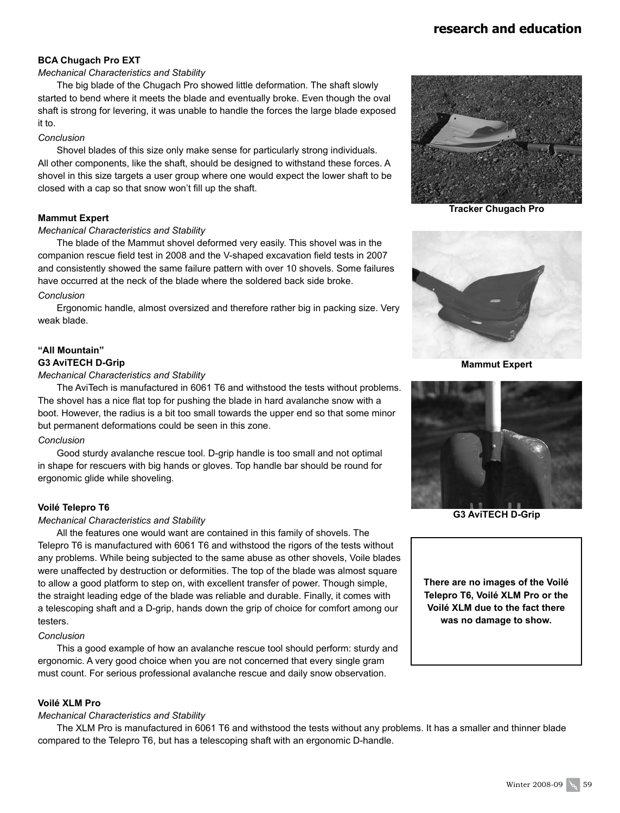#### **BCA Chugach Pro EXT**

#### *Mechanical Characteristics and Stability*

The big blade of the Chugach Pro showed little deformation. The shaft slowly started to bend where it meets the blade and eventually broke. Even though the oval shaft is strong for levering, it was unable to handle the forces the large blade exposed it to.

#### *Conclusion*

Shovel blades of this size only make sense for particularly strong individuals. All other components, like the shaft, should be designed to withstand these forces. A shovel in this size targets a user group where one would expect the lower shaft to be closed with a cap so that snow won't fill up the shaft.

#### **Mammut Expert**

#### *Mechanical Characteristics and Stability*

The blade of the Mammut shovel deformed very easily. This shovel was in the companion rescue field test in 2008 and the V-shaped excavation field tests in 2007 and consistently showed the same failure pattern with over 10 shovels. Some failures have occurred at the neck of the blade where the soldered back side broke. *Conclusion*

### Ergonomic handle, almost oversized and therefore rather big in packing size. Very weak blade.

#### **"All Mountain" G3 AviTECH D-Grip**

#### *Mechanical Characteristics and Stability*

The AviTech is manufactured in 6061 T6 and withstood the tests without problems. The shovel has a nice flat top for pushing the blade in hard avalanche snow with a boot. However, the radius is a bit too small towards the upper end so that some minor but permanent deformations could be seen in this zone.

#### *Conclusion*

Good sturdy avalanche rescue tool. D-grip handle is too small and not optimal in shape for rescuers with big hands or gloves. Top handle bar should be round for ergonomic glide while shoveling.

#### **Voilé Telepro T6**

#### *Mechanical Characteristics and Stability*

All the features one would want are contained in this family of shovels. The Telepro T6 is manufactured with 6061 T6 and withstood the rigors of the tests without any problems. While being subjected to the same abuse as other shovels, Voile blades were unaffected by destruction or deformities. The top of the blade was almost square to allow a good platform to step on, with excellent transfer of power. Though simple, the straight leading edge of the blade was reliable and durable. Finally, it comes with a telescoping shaft and a D-grip, hands down the grip of choice for comfort among our testers.

#### *Conclusion*

This a good example of how an avalanche rescue tool should perform: sturdy and ergonomic. A very good choice when you are not concerned that every single gram must count. For serious professional avalanche rescue and daily snow observation.

#### **Voilé XLM Pro**

#### *Mechanical Characteristics and Stability*

The XLM Pro is manufactured in 6061 T6 and withstood the tests without any problems. It has a smaller and thinner blade compared to the Telepro T6, but has a telescoping shaft with an ergonomic D-handle.



**Tracker Chugach Pro**



**Mammut Expert** 



**G3 AviTECH D-Grip**

**There are no images of the Voilé Telepro T6, Voilé XLM Pro or the Voilé XLM due to the fact there was no damage to show.**